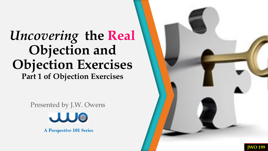### *Uncovering* **the Real Objection and Objection Exercises Part 1 of Objection Exercises**

Presented by J.W. Owens



**A Perspective 101 Series**

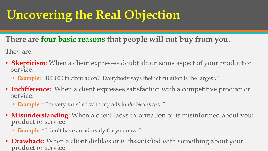**There are four basic reasons that people will not buy from you**.

They are:

- **Skepticism**: When a client expresses doubt about some aspect of your product or service.
	- **Example**: "100,000 in circulation? Everybody says their circulation is the largest."
- **Indifference:** When a client expresses satisfaction with a competitive product or service.
	- **Example**: "I'm very satisfied with my ads in *the Newspaper*!"
- **Misunderstanding**: When a client lacks information or is misinformed about your product or service.
	- **Example**: "I don't have an ad ready for you now."
- **Drawback:** When a client dislikes or is dissatisfied with something about your product or service.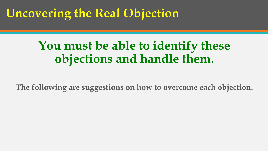### **You must be able to identify these objections and handle them.**

**The following are suggestions on how to overcome each objection.**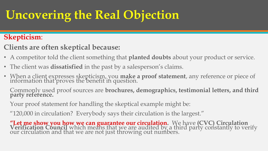#### **Skepticism**:

- **Clients are often skeptical because:**
- A competitor told the client something that **planted doubts** about your product or service.
- The client was **dissatisfied** in the past by a salesperson's claims.
- When a client expresses skepticism, you **make a proof statement**, any reference or piece of information that proves the benefit in question.

Commonly used proof sources are **brochures, demographics, testimonial letters, and third party reference.**

Your proof statement for handling the skeptical example might be:

"120,000 in circulation? Everybody says their circulation is the largest."

"Let me show you how we can guarantee our circulation. We have (CVC) Circulation<br>Verification Council which means that we are audited by a third party constantly to verify<br>our circulation and that we are not just throwing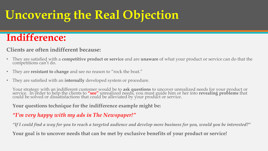### **Indifference:**

#### **Clients are often indifferent because:**

- They are satisfied with a **competitive product or service** and are **unaware** of what your product or service can do that the competitions can't do.
- They are **resistant to change** and see no reason to "rock the boat."
- They are satisfied with an **internally** developed system or procedure.

Your strategy with an indifferent customer would be to **ask questions** to uncover unrealized needs for your product or service. In order to help the clients to **"see"** unrealized needs, you must guide him or her into **revealing problems** that could be solved or dissatisfactions that could be alleviated by your product or service.

**Your questions technique for the indifference example might be:**

#### *"I'm very happy with my ads in The Newspaper!"*

*"If I could find a way for you to reach a targeted audience and develop more business for you, would you be interested?"*

**Your goal is to uncover needs that can be met by exclusive benefits of your product or service!**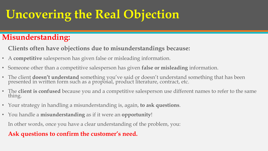### **Misunderstanding:**

**Clients often have objections due to misunderstandings because:**

- A **competitive** salesperson has given false or misleading information.
- Someone other than a competitive salesperson has given **false or misleading** information.
- The client **doesn't understand** something you've said or doesn't understand something that has been presented in written form such as a proposal, product literature, contract, etc.
- The **client is confused** because you and a competitive salesperson use different names to refer to the same thing.
- Your strategy in handling a misunderstanding is, again, **to ask questions**.
- You handle a **misunderstanding** as if it were an **opportunity**!

In other words, once you have a clear understanding of the problem, you:

#### **Ask questions to confirm the customer's need.**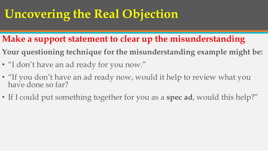- **Make a support statement to clear up the misunderstanding**.
- **Your questioning technique for the misunderstanding example might be:**
- "I don't have an ad ready for you now."
- "If you don't have an ad ready now, would it help to review what you have done so far?
- If I could put something together for you as a **spec ad**, would this help?"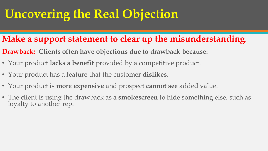### **Make a support statement to clear up the misunderstanding**.

- **Drawback: Clients often have objections due to drawback because:**
- Your product **lacks a benefit** provided by a competitive product.
- Your product has a feature that the customer **dislikes**.
- Your product is **more expensive** and prospect **cannot see** added value.
- The client is using the drawback as a **smokescreen** to hide something else, such as loyalty to another rep.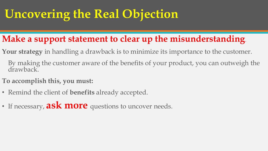### **Make a support statement to clear up the misunderstanding**.

- **Your strategy** in handling a drawback is to minimize its importance to the customer.
	- By making the customer aware of the benefits of your product, you can outweigh the drawback.
- **To accomplish this, you must:**
- Remind the client of **benefits** already accepted.
- If necessary, **ask more** questions to uncover needs.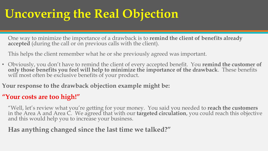One way to minimize the importance of a drawback is to **remind the client of benefits already**  accepted (during the call or on previous calls with the client).

This helps the client remember what he or she previously agreed was important.

• Obviously, you don't have to remind the client of every accepted benefit. You **remind the customer of only those benefits you feel will help to minimize the importance of the drawback**. These benefits will most often be exclusive benefits of your product.

**Your response to the drawback objection example might be:**

#### **"Your costs are too high!"**

"Well, let's review what you're getting for your money. You said you needed to **reach the customers** in the Area A and Area C. We agreed that with our **targeted circulation**, you could reach this objective and this would help you to increase your business.

#### **Has anything changed since the last time we talked?"**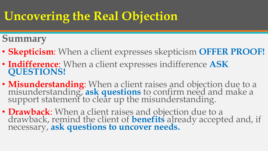**Summary**

- **Skepticism**: When a client expresses skepticism **OFFER PROOF!**
- **Indifference**: When a client expresses indifference **ASK QUESTIONS!**
- **Misunderstanding**: When a client raises and objection due to a misunderstanding, **ask** questions to confirm need and make a support statement to clear up the misunderstanding.
- **Drawback**: When a client raises and objection due to a drawback, remind the client of **benefits** already accepted and, if necessary, **ask questions to uncover needs.**